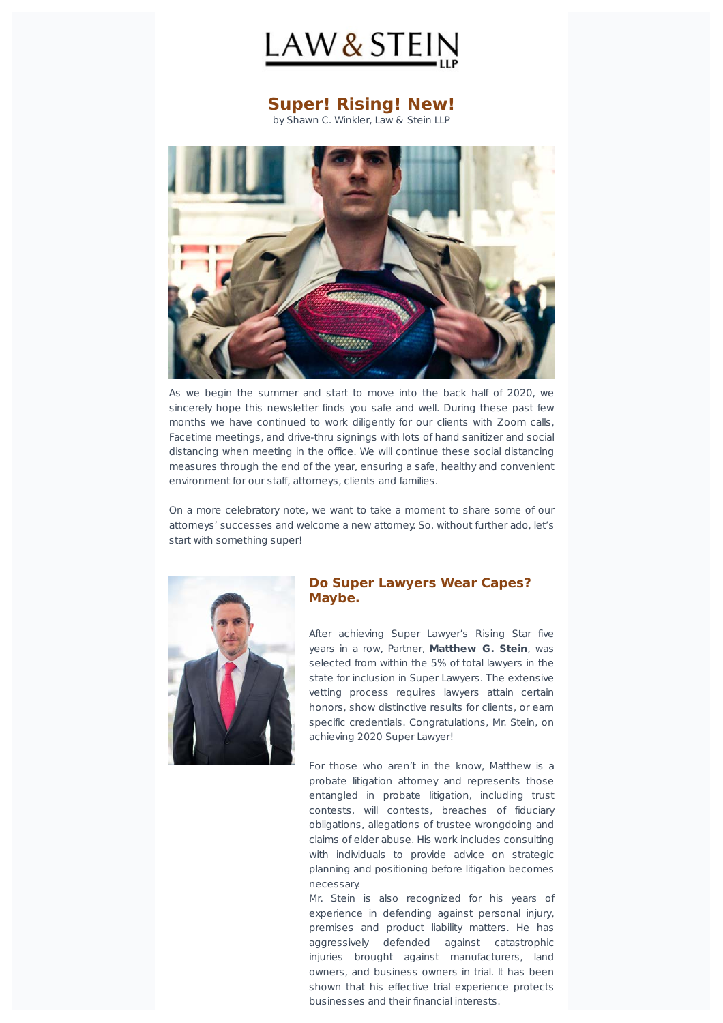

# **Super! Rising! New!**

by Shawn C. Winkler, Law & Stein LLP



As we begin the summer and start to move into the back half of 2020, we sincerely hope this newsletter finds you safe and well. During these past few months we have continued to work diligently for our clients with Zoom calls, Facetime meetings, and drive-thru signings with lots of hand sanitizer and social distancing when meeting in the office. We will continue these social distancing measures through the end of the year, ensuring a safe, healthy and convenient environment for our staff, attorneys, clients and families.

On a more celebratory note, we want to take a moment to share some of our attorneys' successes and welcome a new attorney. So, without further ado, let's start with something super!



# **Do Super Lawyers Wear Capes? Maybe.**

After achieving Super Lawyer's Rising Star five vears in a row, Partner, Matthew G. Stein, was selected from within the 5% of total lawyers in the state for inclusion in Super Lawyers. The extensive vetting process requires lawyers attain certain honors, show distinctive results for clients, or earn specific credentials. Congratulations, Mr. Stein, on achieving 2020 Super Lawyer!

For those who aren't in the know, Matthew is a probate litigation attorney and represents those entangled in probate litigation, including trust contests, will contests, breaches of fiduciary obligations, allegations of trustee wrongdoing and claims of elder abuse. His work includes consulting with individuals to provide advice on strategic planning and positioning before litigation becomes necessary.

Mr. Stein is also recognized for his years of experience in defending against personal injury, premises and product liability matters. He has aggressively defended against catastrophic injuries brought against manufacturers, land owners, and business owners in trial. It has been shown that his effective trial experience protects businesses and their financial interests.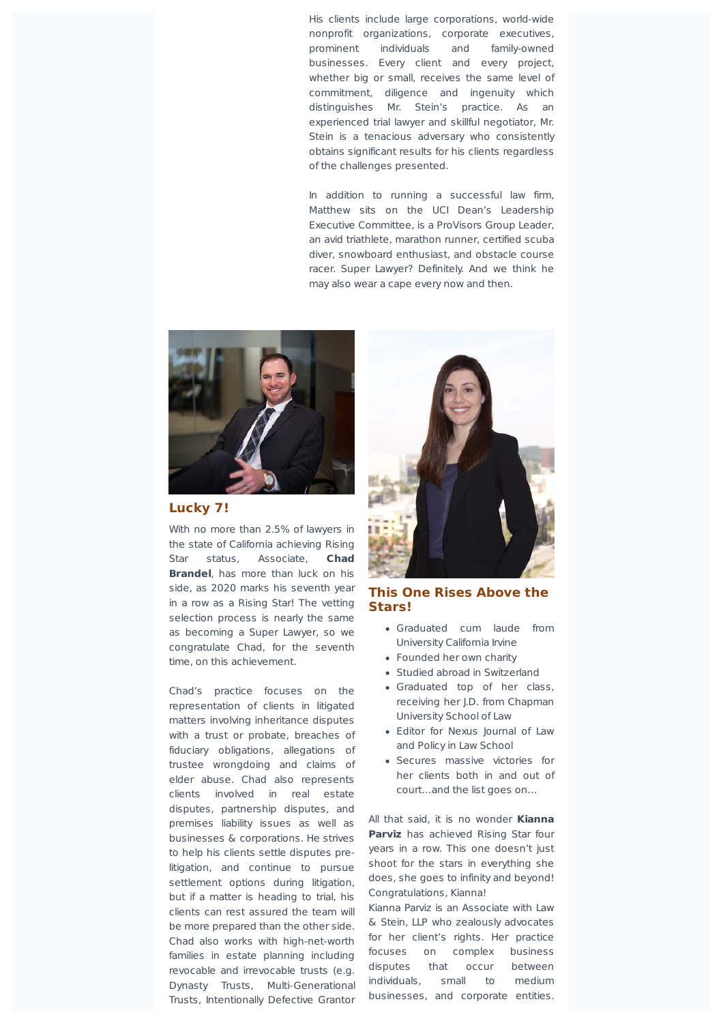His clients include large corporations, world-wide nonprofit organizations, corporate executives, prominent individuals and family-owned businesses. Every client and every project, whether big or small, receives the same level of commitment, diligence and ingenuity which distinguishes Mr. Stein's practice. As an experienced trial lawyer and skillful negotiator, Mr. Stein is a tenacious adversary who consistently obtains significant results for his clients regardless of the challenges presented.

In addition to running a successful law firm, Matthew sits on the UCI Dean's Leadership Executive Committee, is a ProVisors Group Leader, an avid triathlete, marathon runner, certified scuba diver, snowboard enthusiast, and obstacle course racer. Super Lawyer? Definitely. And we think he may also wear a cape every now and then.



# Lucky 7!

With no more than 2.5% of lawyers in the state of California achieving Rising Star status, Associate, Chad **Brandel**, has more than luck on his side, as 2020 marks his seventh year in a row as a Rising Star! The vetting selection process is nearly the same as becoming a Super Lawyer, so we congratulate Chad, for the seventh time, on this achievement.

Chad's practice focuses on the representation of clients in litigated matters involving inheritance disputes with a trust or probate, breaches of fiduciary obligations, allegations of trustee wrongdoing and claims of elder abuse. Chad also represents clients involved in real estate disputes, partnership disputes, and premises liability issues as well as businesses & corporations. He strives to help his clients settle disputes prelitigation, and continue to pursue settlement options during litigation, but if a matter is heading to trial, his clients can rest assured the team will be more prepared than the other side. Chad also works with high-net-worth families in estate planning including revocable and irrevocable trusts (e.g. Dynasty Trusts, Multi-Generational Trusts, Intentionally Defective Grantor



# **This One Rises Above the Stars!**

- Graduated cum laude from University California Irvine
- Founded her own charity
- Studied abroad in Switzerland
- Graduated top of her class, receiving her I.D. from Chapman University School of Law
- Editor for Nexus Journal of Law and Policy in Law School
- Secures massive victories for her clients both in and out of court...and the list goes on...

All that said, it is no wonder **Kianna Parviz** has achieved Rising Star four years in a row. This one doesn't just shoot for the stars in everything she does, she goes to infinity and beyond! Congratulations, Kianna!

Kianna Parviz is an Associate with Law & Stein, LLP who zealously advocates for her client's rights. Her practice focuses on complex business disputes that occur between individuals, small to medium businesses, and corporate entities.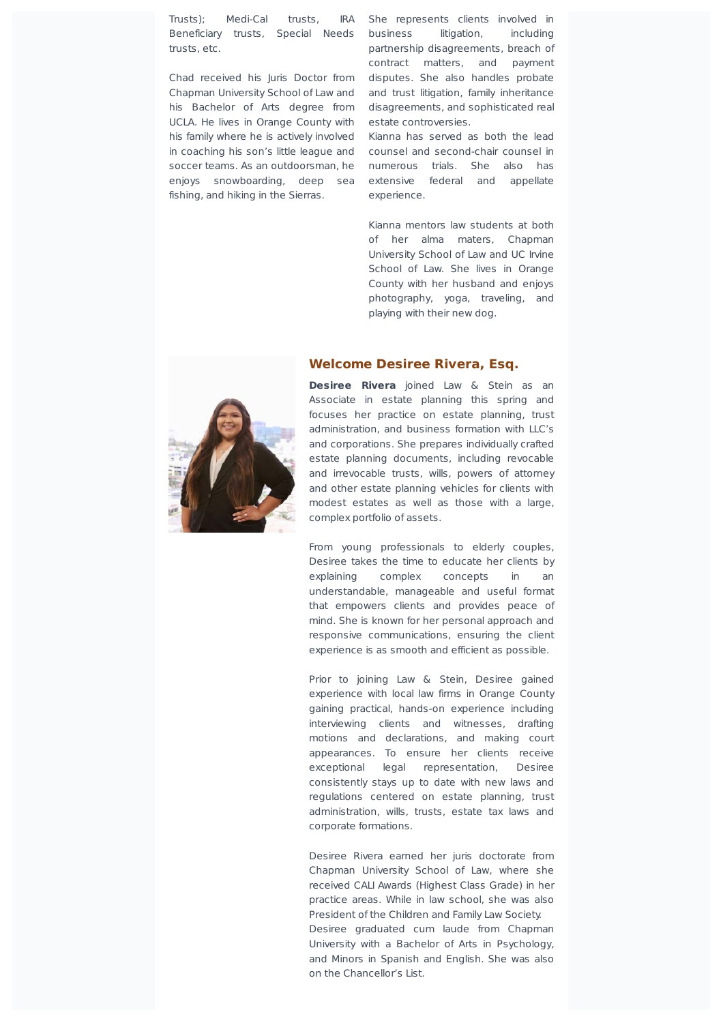Trusts); Medi-Cal trusts, IRA Beneficiary trusts, Special Needs trusts, etc.

Chapman University School of Law and and trust litigation, family inheritance his Bachelor of Arts degree from disagreements, and sophisticated real UCLA. He lives in Orange County with his family where he is actively involved in coaching his son's little league and soccer teams. As an outdoorsman, he enjoys snowboarding, deep sea extensive federal and appellate fishing, and hiking in the Sierras.

Chad received his Juris Doctor from disputes. She also handles probate She represents clients involved in business litigation, including partnership disagreements, breach of contract matters, and payment estate controversies.

> Kianna has served as both the lead counsel and second-chair counsel in numerous trials. She also has experience.

Kianna mentors law students at both of her alma maters, Chapman University School of Law and UC Irvine School of Law. She lives in Orange County with her husband and enjoys photography, yoga, traveling, and playing with their new dog.



#### **Welcome Desiree Rivera, Esq.**

**Desiree Rivera** joined Law & Stein as an Associate in estate planning this spring and focuses her practice on estate planning, trust administration, and business formation with LLC's and corporations. She prepares individually crafted estate planning documents, including revocable and irrevocable trusts, wills, powers of attorney and other estate planning vehicles for clients with modest estates as well as those with a large, complex portfolio of assets.

From young professionals to elderly couples, Desiree takes the time to educate her clients by explaining complex concepts in an understandable, manageable and useful format that empowers clients and provides peace of mind. She is known for her personal approach and responsive communications, ensuring the client experience is as smooth and efficient as possible.

Prior to joining Law & Stein, Desiree gained experience with local law firms in Orange County gaining practical, hands-on experience including interviewing clients and witnesses, drafting motions and declarations, and making court appearances. To ensure her clients receive exceptional legal representation, Desiree consistently stays up to date with new laws and regulations centered on estate planning, trust administration, wills, trusts, estate tax laws and corporate formations.

Desiree Rivera earned her juris doctorate from Chapman University School of Law, where she received CALI Awards (Highest Class Grade) in her practice areas. While in law school, she was also President of the Children and Family Law Society. Desiree graduated cum laude from Chapman University with a Bachelor of Arts in Psychology, and Minors in Spanish and English. She was also on the Chancellor's List.